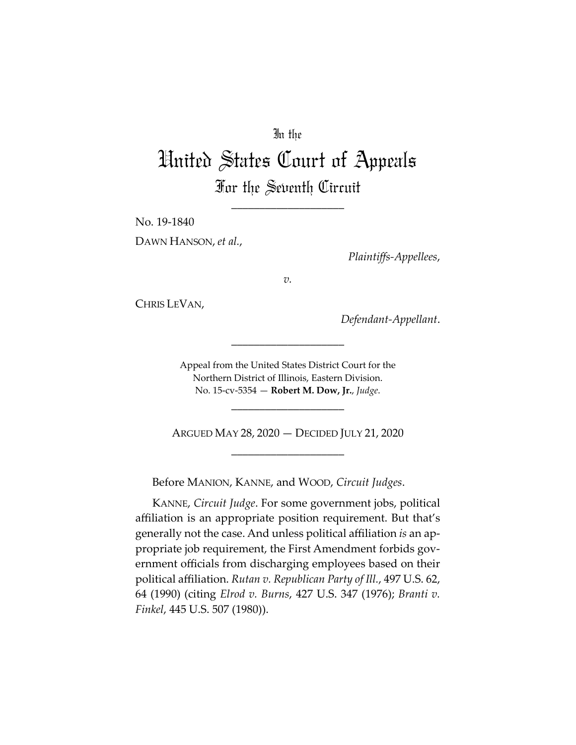## In the

# United States Court of Appeals For the Seventh Circuit

\_\_\_\_\_\_\_\_\_\_\_\_\_\_\_\_\_\_\_\_

No. 19‐1840

DAWN HANSON, *et al.*,

*Plaintiffs‐Appellees*,

*v.*

CHRIS LEVAN,

*Defendant‐Appellant*.

Appeal from the United States District Court for the Northern District of Illinois, Eastern Division. No. 15‐cv‐5354 — **Robert M. Dow, Jr.**, *Judge*.

\_\_\_\_\_\_\_\_\_\_\_\_\_\_\_\_\_\_\_\_

\_\_\_\_\_\_\_\_\_\_\_\_\_\_\_\_\_\_\_\_

ARGUED MAY 28, 2020 — DECIDED JULY 21, 2020 \_\_\_\_\_\_\_\_\_\_\_\_\_\_\_\_\_\_\_\_

Before MANION, KANNE, and WOOD, *Circuit Judges*.

KANNE, *Circuit Judge*. For some government jobs, political affiliation is an appropriate position requirement. But that's generally not the case. And unless political affiliation *is* an ap‐ propriate job requirement, the First Amendment forbids government officials from discharging employees based on their political affiliation. *Rutan v. Republican Party of Ill.*, 497 U.S. 62, 64 (1990) (citing *Elrod v. Burns*, 427 U.S. 347 (1976); *Branti v. Finkel*, 445 U.S. 507 (1980)).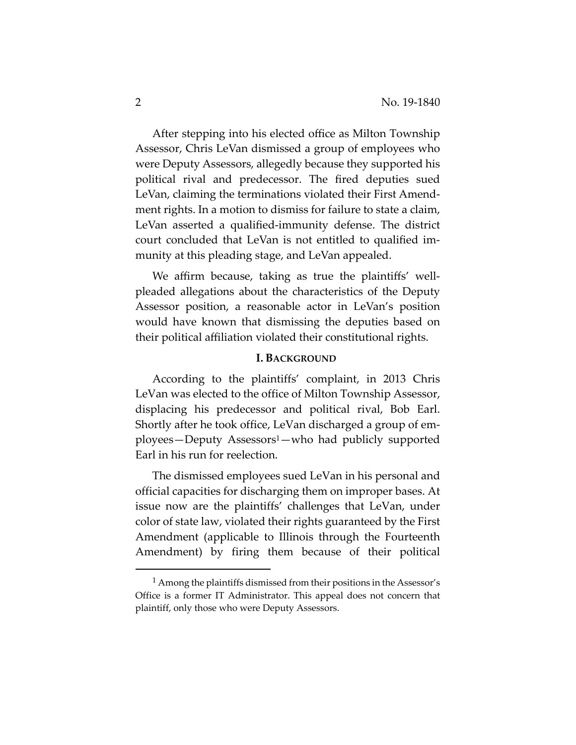After stepping into his elected office as Milton Township Assessor, Chris LeVan dismissed a group of employees who were Deputy Assessors, allegedly because they supported his political rival and predecessor. The fired deputies sued LeVan, claiming the terminations violated their First Amend‐ ment rights. In a motion to dismiss for failure to state a claim, LeVan asserted a qualified-immunity defense. The district court concluded that LeVan is not entitled to qualified im‐ munity at this pleading stage, and LeVan appealed.

We affirm because, taking as true the plaintiffs' wellpleaded allegations about the characteristics of the Deputy Assessor position, a reasonable actor in LeVan's position would have known that dismissing the deputies based on their political affiliation violated their constitutional rights.

#### **I. BACKGROUND**

According to the plaintiffs' complaint, in 2013 Chris LeVan was elected to the office of Milton Township Assessor, displacing his predecessor and political rival, Bob Earl. Shortly after he took office, LeVan discharged a group of em‐ ployees—Deputy Assessors1—who had publicly supported Earl in his run for reelection.

The dismissed employees sued LeVan in his personal and official capacities for discharging them on improper bases. At issue now are the plaintiffs' challenges that LeVan, under color of state law, violated their rights guaranteed by the First Amendment (applicable to Illinois through the Fourteenth Amendment) by firing them because of their political

<sup>1</sup> Among the plaintiffs dismissed from their positions in the Assessor's Office is a former IT Administrator. This appeal does not concern that plaintiff, only those who were Deputy Assessors.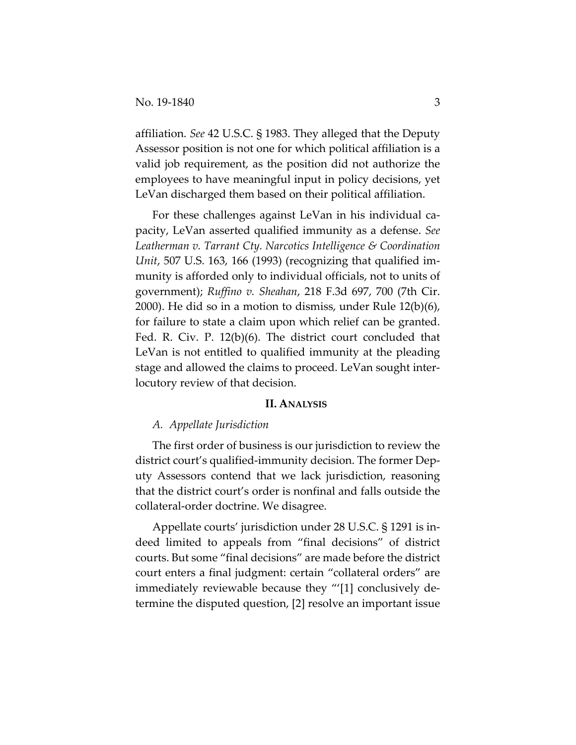affiliation. *See* 42 U.S.C. § 1983. They alleged that the Deputy Assessor position is not one for which political affiliation is a valid job requirement, as the position did not authorize the employees to have meaningful input in policy decisions, yet LeVan discharged them based on their political affiliation.

For these challenges against LeVan in his individual capacity, LeVan asserted qualified immunity as a defense. *See Leatherman v. Tarrant Cty. Narcotics Intelligence & Coordination Unit*, 507 U.S. 163, 166 (1993) (recognizing that qualified im‐ munity is afforded only to individual officials, not to units of government); *Ruffino v. Sheahan*, 218 F.3d 697, 700 (7th Cir. 2000). He did so in a motion to dismiss, under Rule 12(b)(6), for failure to state a claim upon which relief can be granted. Fed. R. Civ. P. 12(b)(6). The district court concluded that LeVan is not entitled to qualified immunity at the pleading stage and allowed the claims to proceed. LeVan sought inter‐ locutory review of that decision.

### **II. ANALYSIS**

#### *A. Appellate Jurisdiction*

The first order of business is our jurisdiction to review the district court's qualified‐immunity decision. The former Dep‐ uty Assessors contend that we lack jurisdiction, reasoning that the district court's order is nonfinal and falls outside the collateral‐order doctrine. We disagree.

Appellate courts' jurisdiction under 28 U.S.C. § 1291 is in‐ deed limited to appeals from "final decisions" of district courts. But some "final decisions" are made before the district court enters a final judgment: certain "collateral orders" are immediately reviewable because they "'[1] conclusively determine the disputed question, [2] resolve an important issue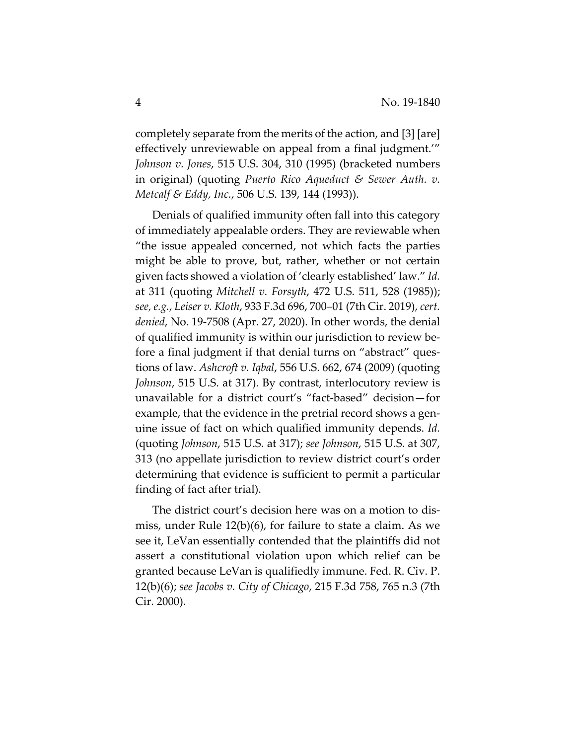completely separate from the merits of the action, and [3] [are] effectively unreviewable on appeal from a final judgment.'" *Johnson v. Jones*, 515 U.S. 304, 310 (1995) (bracketed numbers in original) (quoting *Puerto Rico Aqueduct & Sewer Auth. v. Metcalf & Eddy, Inc.*, 506 U.S. 139, 144 (1993)).

Denials of qualified immunity often fall into this category of immediately appealable orders. They are reviewable when "the issue appealed concerned, not which facts the parties might be able to prove, but, rather, whether or not certain given facts showed a violation of 'clearly established' law." *Id.* at 311 (quoting *Mitchell v. Forsyth*, 472 U.S. 511, 528 (1985)); *see, e.g.*, *Leiser v. Kloth*, 933 F.3d 696, 700–01 (7th Cir. 2019), *cert. denied*, No. 19‐7508 (Apr. 27, 2020). In other words, the denial of qualified immunity is within our jurisdiction to review be‐ fore a final judgment if that denial turns on "abstract" questions of law. *Ashcroft v. Iqbal*, 556 U.S. 662, 674 (2009) (quoting *Johnson*, 515 U.S. at 317). By contrast, interlocutory review is unavailable for a district court's "fact‐based" decision—for example, that the evidence in the pretrial record shows a genuine issue of fact on which qualified immunity depends. *Id.* (quoting *Johnson*, 515 U.S. at 317); *see Johnson*, 515 U.S. at 307, 313 (no appellate jurisdiction to review district court's order determining that evidence is sufficient to permit a particular finding of fact after trial).

The district court's decision here was on a motion to dis‐ miss, under Rule 12(b)(6), for failure to state a claim. As we see it, LeVan essentially contended that the plaintiffs did not assert a constitutional violation upon which relief can be granted because LeVan is qualifiedly immune. Fed. R. Civ. P. 12(b)(6); *see Jacobs v. City of Chicago*, 215 F.3d 758, 765 n.3 (7th Cir. 2000).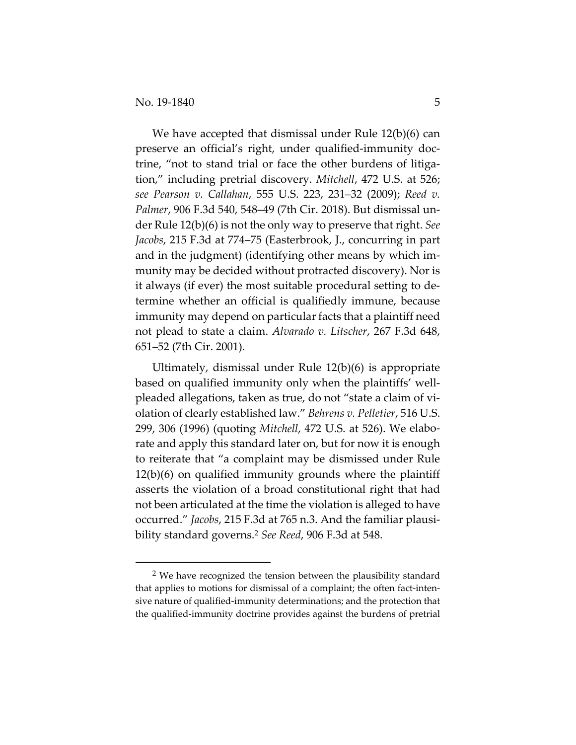We have accepted that dismissal under Rule 12(b)(6) can preserve an official's right, under qualified‐immunity doc‐ trine, "not to stand trial or face the other burdens of litiga‐ tion," including pretrial discovery. *Mitchell*, 472 U.S. at 526; *see Pearson v. Callahan*, 555 U.S. 223, 231–32 (2009); *Reed v. Palmer*, 906 F.3d 540, 548–49 (7th Cir. 2018). But dismissal un‐ der Rule 12(b)(6) is not the only way to preserve that right. *See Jacobs*, 215 F.3d at 774–75 (Easterbrook, J., concurring in part and in the judgment) (identifying other means by which im‐ munity may be decided without protracted discovery). Nor is it always (if ever) the most suitable procedural setting to de‐ termine whether an official is qualifiedly immune, because immunity may depend on particular facts that a plaintiff need not plead to state a claim. *Alvarado v. Litscher*, 267 F.3d 648, 651–52 (7th Cir. 2001).

Ultimately, dismissal under Rule 12(b)(6) is appropriate based on qualified immunity only when the plaintiffs' well‐ pleaded allegations, taken as true, do not "state a claim of vi‐ olation of clearly established law." *Behrens v. Pelletier*, 516 U.S. 299, 306 (1996) (quoting *Mitchell*, 472 U.S. at 526). We elabo‐ rate and apply this standard later on, but for now it is enough to reiterate that "a complaint may be dismissed under Rule 12(b)(6) on qualified immunity grounds where the plaintiff asserts the violation of a broad constitutional right that had not been articulated at the time the violation is alleged to have occurred." *Jacobs*, 215 F.3d at 765 n.3. And the familiar plausi‐ bility standard governs.2 *See Reed*, 906 F.3d at 548.

<sup>2</sup> We have recognized the tension between the plausibility standard that applies to motions for dismissal of a complaint; the often fact-intensive nature of qualified-immunity determinations; and the protection that the qualified‐immunity doctrine provides against the burdens of pretrial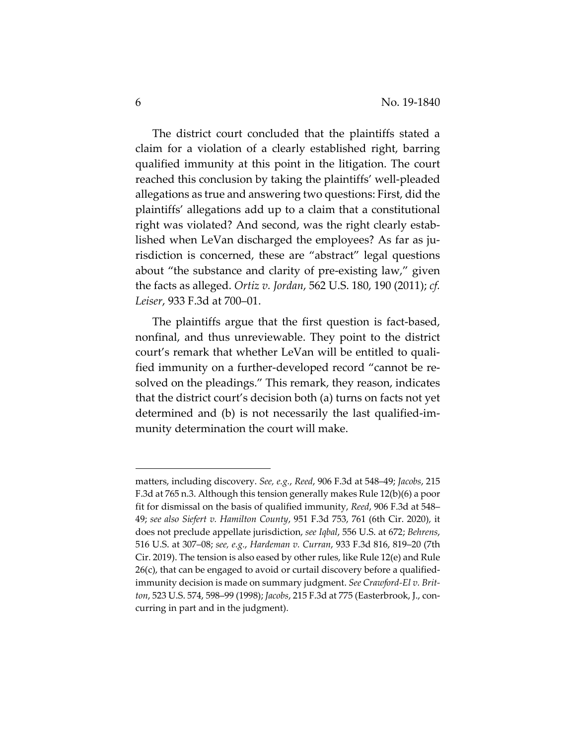The district court concluded that the plaintiffs stated a claim for a violation of a clearly established right, barring qualified immunity at this point in the litigation. The court reached this conclusion by taking the plaintiffs' well‐pleaded allegations as true and answering two questions: First, did the plaintiffs' allegations add up to a claim that a constitutional right was violated? And second, was the right clearly estab‐ lished when LeVan discharged the employees? As far as ju‐ risdiction is concerned, these are "abstract" legal questions about "the substance and clarity of pre‐existing law," given the facts as alleged. *Ortiz v. Jordan*, 562 U.S. 180, 190 (2011); *cf. Leiser*, 933 F.3d at 700–01.

The plaintiffs argue that the first question is fact-based, nonfinal, and thus unreviewable. They point to the district court's remark that whether LeVan will be entitled to quali‐ fied immunity on a further-developed record "cannot be resolved on the pleadings." This remark, they reason, indicates that the district court's decision both (a) turns on facts not yet determined and (b) is not necessarily the last qualified‐im‐ munity determination the court will make.

matters, including discovery. *See, e.g.*, *Reed*, 906 F.3d at 548–49; *Jacobs*, 215 F.3d at 765 n.3. Although this tension generally makes Rule 12(b)(6) a poor fit for dismissal on the basis of qualified immunity, *Reed*, 906 F.3d at 548– 49; *see also Siefert v. Hamilton County*, 951 F.3d 753, 761 (6th Cir. 2020), it does not preclude appellate jurisdiction, *see Iqbal*, 556 U.S. at 672; *Behrens*, 516 U.S. at 307–08; *see, e.g.*, *Hardeman v. Curran*, 933 F.3d 816, 819–20 (7th Cir. 2019). The tension is also eased by other rules, like Rule 12(e) and Rule  $26(c)$ , that can be engaged to avoid or curtail discovery before a qualifiedimmunity decision is made on summary judgment. *See Crawford‐El v. Brit‐ ton*, 523 U.S. 574, 598–99 (1998); *Jacobs*, 215 F.3d at 775 (Easterbrook, J., con‐ curring in part and in the judgment).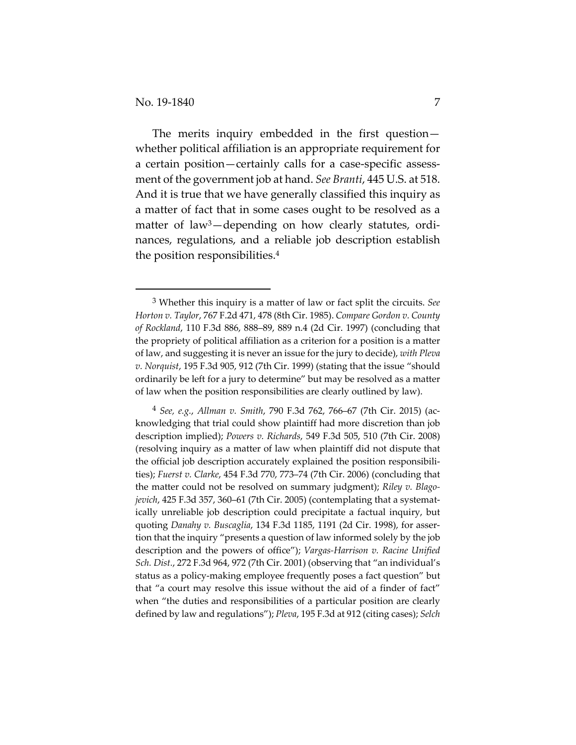The merits inquiry embedded in the first question whether political affiliation is an appropriate requirement for a certain position—certainly calls for a case‐specific assess‐ ment of the government job at hand. *See Branti*, 445 U.S. at 518. And it is true that we have generally classified this inquiry as a matter of fact that in some cases ought to be resolved as a matter of law<sup>3</sup>—depending on how clearly statutes, ordinances, regulations, and a reliable job description establish the position responsibilities.4

<sup>3</sup> Whether this inquiry is a matter of law or fact split the circuits. *See Horton v. Taylor*, 767 F.2d 471, 478 (8th Cir. 1985). *Compare Gordon v. County of Rockland*, 110 F.3d 886, 888–89, 889 n.4 (2d Cir. 1997) (concluding that the propriety of political affiliation as a criterion for a position is a matter of law, and suggesting it is never an issue for the jury to decide), *with Pleva v. Norquist*, 195 F.3d 905, 912 (7th Cir. 1999) (stating that the issue "should ordinarily be left for a jury to determine" but may be resolved as a matter of law when the position responsibilities are clearly outlined by law).

<sup>4</sup> *See, e.g.*, *Allman v. Smith*, 790 F.3d 762, 766–67 (7th Cir. 2015) (ac‐ knowledging that trial could show plaintiff had more discretion than job description implied); *Powers v. Richards*, 549 F.3d 505, 510 (7th Cir. 2008) (resolving inquiry as a matter of law when plaintiff did not dispute that the official job description accurately explained the position responsibili‐ ties); *Fuerst v. Clarke*, 454 F.3d 770, 773–74 (7th Cir. 2006) (concluding that the matter could not be resolved on summary judgment); *Riley v. Blago‐ jevich*, 425 F.3d 357, 360–61 (7th Cir. 2005) (contemplating that a systemat‐ ically unreliable job description could precipitate a factual inquiry, but quoting *Danahy v. Buscaglia*, 134 F.3d 1185, 1191 (2d Cir. 1998), for asser‐ tion that the inquiry "presents a question of law informed solely by the job description and the powers of office"); *Vargas‐Harrison v. Racine Unified Sch. Dist.*, 272 F.3d 964, 972 (7th Cir. 2001) (observing that "an individual's status as a policy‐making employee frequently poses a fact question" but that "a court may resolve this issue without the aid of a finder of fact" when "the duties and responsibilities of a particular position are clearly defined by law and regulations"); *Pleva*, 195 F.3d at 912 (citing cases); *Selch*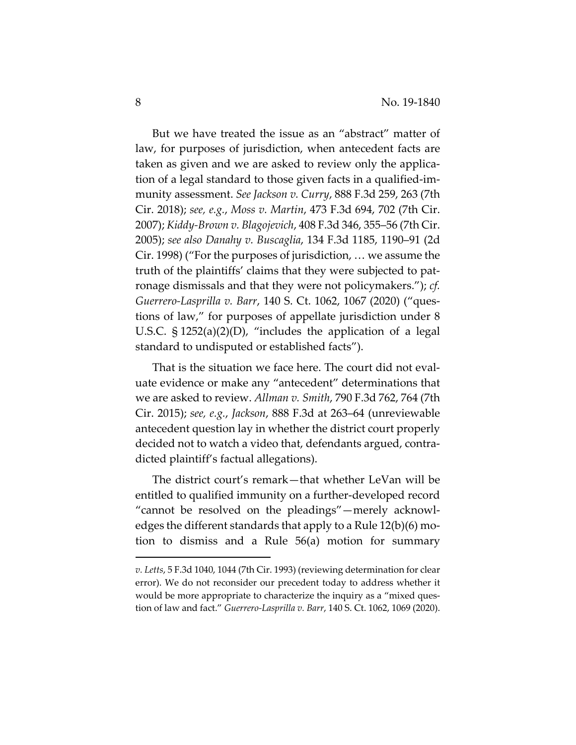But we have treated the issue as an "abstract" matter of law, for purposes of jurisdiction, when antecedent facts are taken as given and we are asked to review only the applica‐ tion of a legal standard to those given facts in a qualified‐im‐ munity assessment. *See Jackson v. Curry*, 888 F.3d 259, 263 (7th Cir. 2018); *see, e.g.*, *Moss v. Martin*, 473 F.3d 694, 702 (7th Cir. 2007); *Kiddy‐Brown v. Blagojevich*, 408 F.3d 346, 355–56 (7th Cir. 2005); *see also Danahy v. Buscaglia*, 134 F.3d 1185, 1190–91 (2d Cir. 1998) ("For the purposes of jurisdiction, … we assume the truth of the plaintiffs' claims that they were subjected to pat‐ ronage dismissals and that they were not policymakers."); *cf. Guerrero‐Lasprilla v. Barr*, 140 S. Ct. 1062, 1067 (2020) ("ques‐ tions of law," for purposes of appellate jurisdiction under 8 U.S.C.  $\S 1252(a)(2)(D)$ , "includes the application of a legal standard to undisputed or established facts").

That is the situation we face here. The court did not eval‐ uate evidence or make any "antecedent" determinations that we are asked to review. *Allman v. Smith*, 790 F.3d 762, 764 (7th Cir. 2015); *see, e.g.*, *Jackson*, 888 F.3d at 263–64 (unreviewable antecedent question lay in whether the district court properly decided not to watch a video that, defendants argued, contra‐ dicted plaintiff's factual allegations).

The district court's remark—that whether LeVan will be entitled to qualified immunity on a further‐developed record "cannot be resolved on the pleadings"—merely acknowl‐ edges the different standards that apply to a Rule 12(b)(6) mo‐ tion to dismiss and a Rule 56(a) motion for summary

*v. Letts*, 5 F.3d 1040, 1044 (7th Cir. 1993) (reviewing determination for clear error). We do not reconsider our precedent today to address whether it would be more appropriate to characterize the inquiry as a "mixed question of law and fact." *Guerrero‐Lasprilla v. Barr*, 140 S. Ct. 1062, 1069 (2020).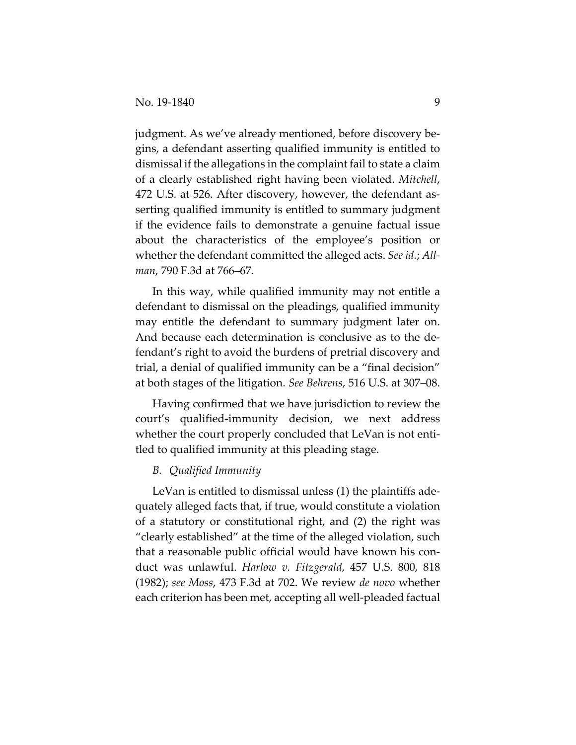judgment. As we've already mentioned, before discovery be‐ gins, a defendant asserting qualified immunity is entitled to dismissal if the allegations in the complaint fail to state a claim of a clearly established right having been violated. *Mitchell*, 472 U.S. at 526. After discovery, however, the defendant as‐ serting qualified immunity is entitled to summary judgment if the evidence fails to demonstrate a genuine factual issue about the characteristics of the employee's position or whether the defendant committed the alleged acts. *See id.*; *All‐ man*, 790 F.3d at 766–67.

In this way, while qualified immunity may not entitle a defendant to dismissal on the pleadings, qualified immunity may entitle the defendant to summary judgment later on. And because each determination is conclusive as to the de‐ fendant's right to avoid the burdens of pretrial discovery and trial, a denial of qualified immunity can be a "final decision" at both stages of the litigation. *See Behrens*, 516 U.S. at 307–08.

Having confirmed that we have jurisdiction to review the court's qualified‐immunity decision, we next address whether the court properly concluded that LeVan is not entitled to qualified immunity at this pleading stage.

#### *B. Qualified Immunity*

LeVan is entitled to dismissal unless (1) the plaintiffs ade‐ quately alleged facts that, if true, would constitute a violation of a statutory or constitutional right, and (2) the right was "clearly established" at the time of the alleged violation, such that a reasonable public official would have known his con‐ duct was unlawful. *Harlow v. Fitzgerald*, 457 U.S. 800, 818 (1982); *see Moss*, 473 F.3d at 702. We review *de novo* whether each criterion has been met, accepting all well‐pleaded factual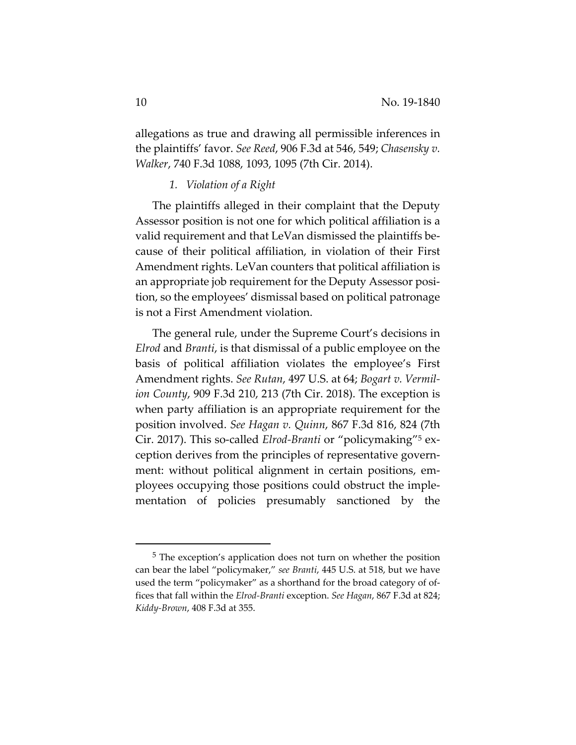allegations as true and drawing all permissible inferences in the plaintiffs' favor. *See Reed*, 906 F.3d at 546, 549; *Chasensky v. Walker*, 740 F.3d 1088, 1093, 1095 (7th Cir. 2014).

#### *1. Violation of a Right*

The plaintiffs alleged in their complaint that the Deputy Assessor position is not one for which political affiliation is a valid requirement and that LeVan dismissed the plaintiffs be‐ cause of their political affiliation, in violation of their First Amendment rights. LeVan counters that political affiliation is an appropriate job requirement for the Deputy Assessor posi‐ tion, so the employees' dismissal based on political patronage is not a First Amendment violation.

The general rule, under the Supreme Court's decisions in *Elrod* and *Branti*, is that dismissal of a public employee on the basis of political affiliation violates the employee's First Amendment rights. *See Rutan*, 497 U.S. at 64; *Bogart v. Vermil‐ ion County*, 909 F.3d 210, 213 (7th Cir. 2018). The exception is when party affiliation is an appropriate requirement for the position involved. *See Hagan v. Quinn*, 867 F.3d 816, 824 (7th Cir. 2017). This so‐called *Elrod‐Branti* or "policymaking"5 ex‐ ception derives from the principles of representative govern‐ ment: without political alignment in certain positions, employees occupying those positions could obstruct the imple‐ mentation of policies presumably sanctioned by the

<sup>5</sup> The exception's application does not turn on whether the position can bear the label "policymaker," *see Branti*, 445 U.S. at 518, but we have used the term "policymaker" as a shorthand for the broad category of of‐ fices that fall within the *Elrod‐Branti* exception. *See Hagan*, 867 F.3d at 824; *Kiddy‐Brown*, 408 F.3d at 355.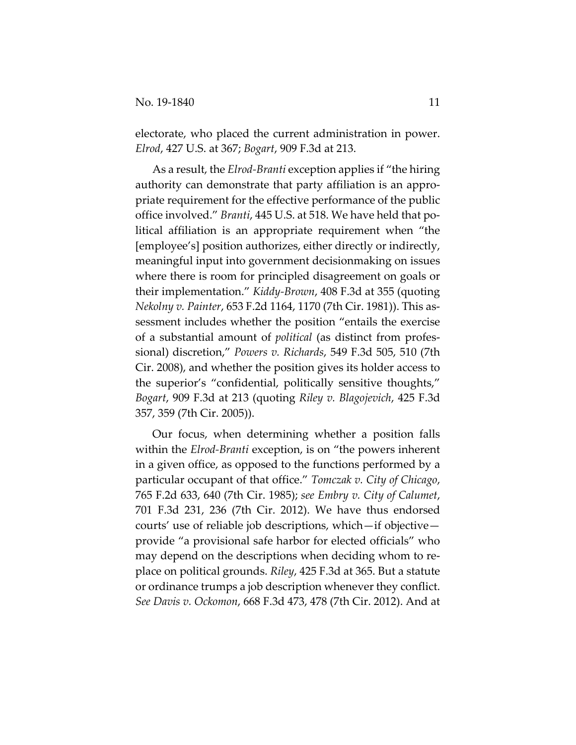electorate, who placed the current administration in power. *Elrod*, 427 U.S. at 367; *Bogart*, 909 F.3d at 213.

As a result, the *Elrod‐Branti* exception applies if "the hiring authority can demonstrate that party affiliation is an appro‐ priate requirement for the effective performance of the public office involved." *Branti*, 445 U.S. at 518. We have held that po‐ litical affiliation is an appropriate requirement when "the [employee's] position authorizes, either directly or indirectly, meaningful input into government decisionmaking on issues where there is room for principled disagreement on goals or their implementation." *Kiddy‐Brown*, 408 F.3d at 355 (quoting *Nekolny v. Painter*, 653 F.2d 1164, 1170 (7th Cir. 1981)). This as‐ sessment includes whether the position "entails the exercise of a substantial amount of *political* (as distinct from profes‐ sional) discretion," *Powers v. Richards*, 549 F.3d 505, 510 (7th Cir. 2008), and whether the position gives its holder access to the superior's "confidential, politically sensitive thoughts," *Bogart*, 909 F.3d at 213 (quoting *Riley v. Blagojevich*, 425 F.3d 357, 359 (7th Cir. 2005)).

Our focus, when determining whether a position falls within the *Elrod‐Branti* exception, is on "the powers inherent in a given office, as opposed to the functions performed by a particular occupant of that office." *Tomczak v. City of Chicago*, 765 F.2d 633, 640 (7th Cir. 1985); *see Embry v. City of Calumet*, 701 F.3d 231, 236 (7th Cir. 2012). We have thus endorsed courts' use of reliable job descriptions, which—if objective provide "a provisional safe harbor for elected officials" who may depend on the descriptions when deciding whom to re‐ place on political grounds. *Riley*, 425 F.3d at 365. But a statute or ordinance trumps a job description whenever they conflict. *See Davis v. Ockomon*, 668 F.3d 473, 478 (7th Cir. 2012). And at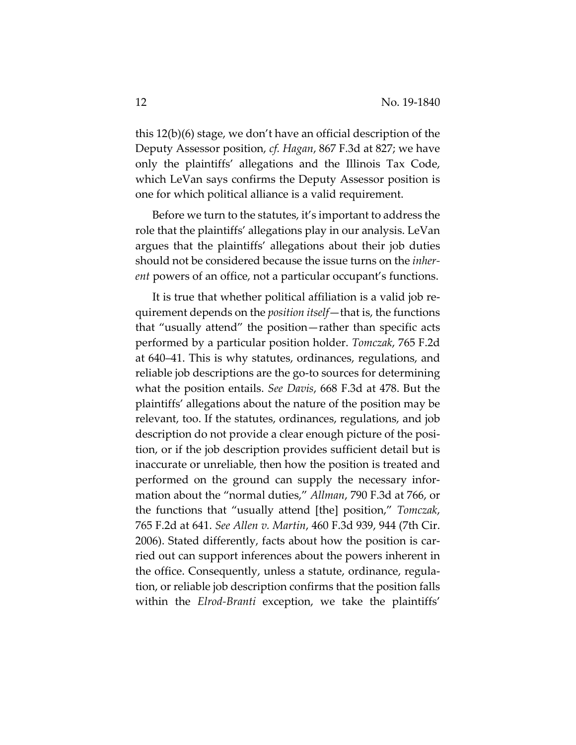this 12(b)(6) stage, we don't have an official description of the Deputy Assessor position, *cf. Hagan*, 867 F.3d at 827; we have only the plaintiffs' allegations and the Illinois Tax Code, which LeVan says confirms the Deputy Assessor position is one for which political alliance is a valid requirement.

Before we turn to the statutes, it's important to address the role that the plaintiffs' allegations play in our analysis. LeVan argues that the plaintiffs' allegations about their job duties should not be considered because the issue turns on the *inher‐ ent* powers of an office, not a particular occupant's functions.

It is true that whether political affiliation is a valid job re‐ quirement depends on the *position itself*—that is, the functions that "usually attend" the position—rather than specific acts performed by a particular position holder. *Tomczak*, 765 F.2d at 640–41. This is why statutes, ordinances, regulations, and reliable job descriptions are the go‐to sources for determining what the position entails. *See Davis*, 668 F.3d at 478. But the plaintiffs' allegations about the nature of the position may be relevant, too. If the statutes, ordinances, regulations, and job description do not provide a clear enough picture of the position, or if the job description provides sufficient detail but is inaccurate or unreliable, then how the position is treated and performed on the ground can supply the necessary infor‐ mation about the "normal duties," *Allman*, 790 F.3d at 766, or the functions that "usually attend [the] position," *Tomczak*, 765 F.2d at 641. *See Allen v. Martin*, 460 F.3d 939, 944 (7th Cir. 2006). Stated differently, facts about how the position is car‐ ried out can support inferences about the powers inherent in the office. Consequently, unless a statute, ordinance, regula‐ tion, or reliable job description confirms that the position falls within the *Elrod‐Branti* exception, we take the plaintiffs'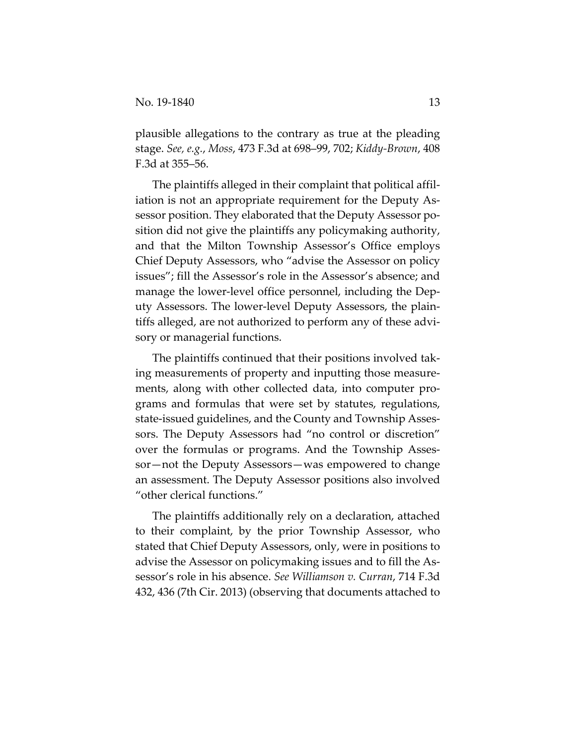plausible allegations to the contrary as true at the pleading stage. *See, e.g.*, *Moss*, 473 F.3d at 698–99, 702; *Kiddy‐Brown*, 408 F.3d at 355–56.

The plaintiffs alleged in their complaint that political affil‐ iation is not an appropriate requirement for the Deputy Assessor position. They elaborated that the Deputy Assessor po‐ sition did not give the plaintiffs any policymaking authority, and that the Milton Township Assessor's Office employs Chief Deputy Assessors, who "advise the Assessor on policy issues"; fill the Assessor's role in the Assessor's absence; and manage the lower-level office personnel, including the Deputy Assessors. The lower‐level Deputy Assessors, the plain‐ tiffs alleged, are not authorized to perform any of these advi‐ sory or managerial functions.

The plaintiffs continued that their positions involved tak‐ ing measurements of property and inputting those measure‐ ments, along with other collected data, into computer programs and formulas that were set by statutes, regulations, state‐issued guidelines, and the County and Township Asses‐ sors. The Deputy Assessors had "no control or discretion" over the formulas or programs. And the Township Asses‐ sor—not the Deputy Assessors—was empowered to change an assessment. The Deputy Assessor positions also involved "other clerical functions."

The plaintiffs additionally rely on a declaration, attached to their complaint, by the prior Township Assessor, who stated that Chief Deputy Assessors, only, were in positions to advise the Assessor on policymaking issues and to fill the As‐ sessor's role in his absence. *See Williamson v. Curran*, 714 F.3d 432, 436 (7th Cir. 2013) (observing that documents attached to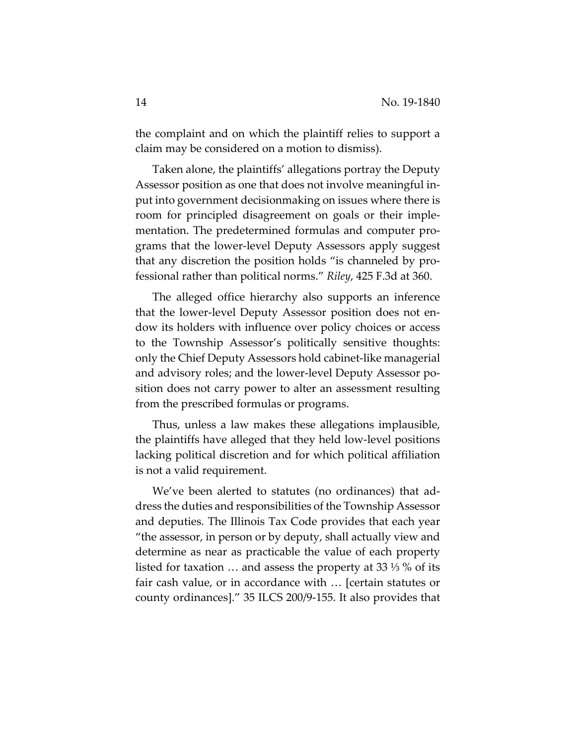the complaint and on which the plaintiff relies to support a claim may be considered on a motion to dismiss).

Taken alone, the plaintiffs' allegations portray the Deputy Assessor position as one that does not involve meaningful in‐ put into government decisionmaking on issues where there is room for principled disagreement on goals or their imple‐ mentation. The predetermined formulas and computer pro‐ grams that the lower‐level Deputy Assessors apply suggest that any discretion the position holds "is channeled by pro‐ fessional rather than political norms." *Riley*, 425 F.3d at 360.

The alleged office hierarchy also supports an inference that the lower‐level Deputy Assessor position does not en‐ dow its holders with influence over policy choices or access to the Township Assessor's politically sensitive thoughts: only the Chief Deputy Assessors hold cabinet‐like managerial and advisory roles; and the lower‐level Deputy Assessor po‐ sition does not carry power to alter an assessment resulting from the prescribed formulas or programs.

Thus, unless a law makes these allegations implausible, the plaintiffs have alleged that they held low‐level positions lacking political discretion and for which political affiliation is not a valid requirement.

We've been alerted to statutes (no ordinances) that ad‐ dress the duties and responsibilities of the Township Assessor and deputies. The Illinois Tax Code provides that each year "the assessor, in person or by deputy, shall actually view and determine as near as practicable the value of each property listed for taxation … and assess the property at 33 ⅓ % of its fair cash value, or in accordance with … [certain statutes or county ordinances]." 35 ILCS 200/9‐155. It also provides that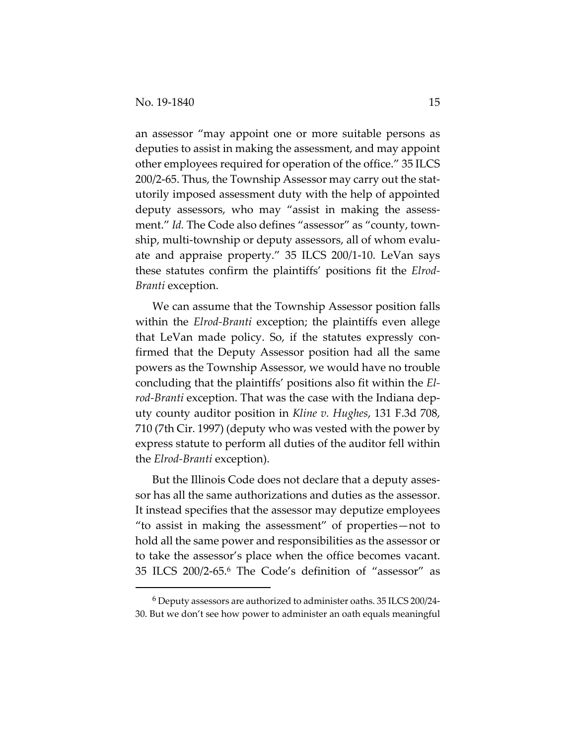an assessor "may appoint one or more suitable persons as deputies to assist in making the assessment, and may appoint other employees required for operation of the office." 35 ILCS 200/2‐65. Thus, the Township Assessor may carry out the stat‐ utorily imposed assessment duty with the help of appointed deputy assessors, who may "assist in making the assess‐ ment." *Id.* The Code also defines "assessor" as "county, township, multi‐township or deputy assessors, all of whom evalu‐ ate and appraise property." 35 ILCS 200/1‐10. LeVan says these statutes confirm the plaintiffs' positions fit the *Elrod‐ Branti* exception.

We can assume that the Township Assessor position falls within the *Elrod‐Branti* exception; the plaintiffs even allege that LeVan made policy. So, if the statutes expressly con‐ firmed that the Deputy Assessor position had all the same powers as the Township Assessor, we would have no trouble concluding that the plaintiffs' positions also fit within the *El‐ rod‐Branti* exception. That was the case with the Indiana dep‐ uty county auditor position in *Kline v. Hughes*, 131 F.3d 708, 710 (7th Cir. 1997) (deputy who was vested with the power by express statute to perform all duties of the auditor fell within the *Elrod‐Branti* exception).

But the Illinois Code does not declare that a deputy asses‐ sor has all the same authorizations and duties as the assessor. It instead specifies that the assessor may deputize employees "to assist in making the assessment" of properties—not to hold all the same power and responsibilities as the assessor or to take the assessor's place when the office becomes vacant. 35 ILCS 200/2‐65.6 The Code's definition of "assessor" as

<sup>6</sup> Deputy assessors are authorized to administer oaths. 35 ILCS 200/24‐ 30. But we don't see how power to administer an oath equals meaningful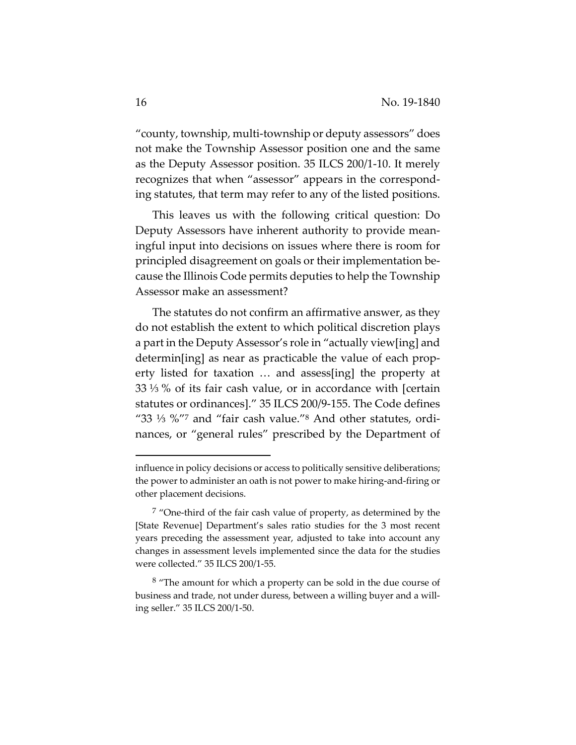"county, township, multi‐township or deputy assessors" does not make the Township Assessor position one and the same as the Deputy Assessor position. 35 ILCS 200/1‐10. It merely recognizes that when "assessor" appears in the correspond‐ ing statutes, that term may refer to any of the listed positions.

This leaves us with the following critical question: Do Deputy Assessors have inherent authority to provide mean‐ ingful input into decisions on issues where there is room for principled disagreement on goals or their implementation be‐ cause the Illinois Code permits deputies to help the Township Assessor make an assessment?

The statutes do not confirm an affirmative answer, as they do not establish the extent to which political discretion plays a part in the Deputy Assessor's role in "actually view[ing] and determin[ing] as near as practicable the value of each prop‐ erty listed for taxation … and assess[ing] the property at 33 ⅓ % of its fair cash value, or in accordance with [certain statutes or ordinances]." 35 ILCS 200/9‐155. The Code defines "33 ⅓ %"7 and "fair cash value."8 And other statutes, ordi‐ nances, or "general rules" prescribed by the Department of

influence in policy decisions or access to politically sensitive deliberations; the power to administer an oath is not power to make hiring‐and‐firing or other placement decisions.

 $7$  "One-third of the fair cash value of property, as determined by the [State Revenue] Department's sales ratio studies for the 3 most recent years preceding the assessment year, adjusted to take into account any changes in assessment levels implemented since the data for the studies were collected." 35 ILCS 200/1‐55.

 $8$  "The amount for which a property can be sold in the due course of business and trade, not under duress, between a willing buyer and a willing seller." 35 ILCS 200/1‐50.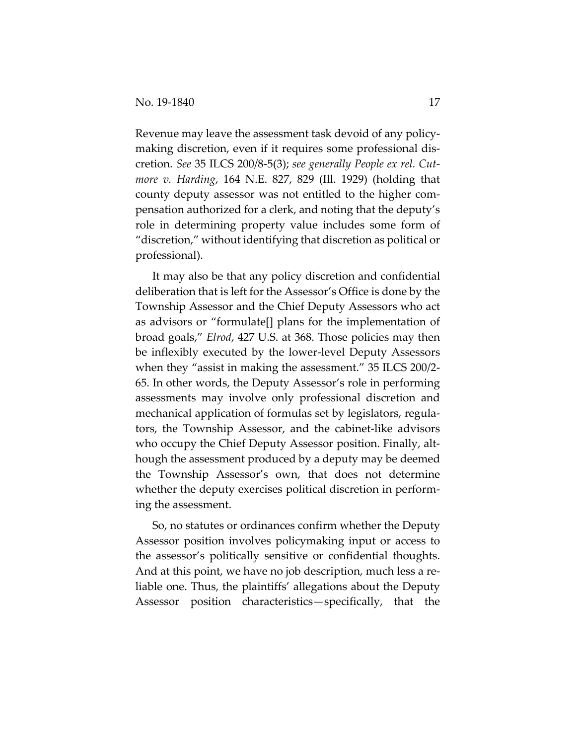Revenue may leave the assessment task devoid of any policy‐ making discretion, even if it requires some professional dis‐ cretion. *See* 35 ILCS 200/8‐5(3); *see generally People ex rel. Cut‐ more v. Harding*, 164 N.E. 827, 829 (Ill. 1929) (holding that county deputy assessor was not entitled to the higher com‐ pensation authorized for a clerk, and noting that the deputy's role in determining property value includes some form of "discretion," without identifying that discretion as political or professional).

It may also be that any policy discretion and confidential deliberation that is left for the Assessor's Office is done by the Township Assessor and the Chief Deputy Assessors who act as advisors or "formulate[] plans for the implementation of broad goals," *Elrod*, 427 U.S. at 368. Those policies may then be inflexibly executed by the lower‐level Deputy Assessors when they "assist in making the assessment." 35 ILCS 200/2-65. In other words, the Deputy Assessor's role in performing assessments may involve only professional discretion and mechanical application of formulas set by legislators, regula‐ tors, the Township Assessor, and the cabinet‐like advisors who occupy the Chief Deputy Assessor position. Finally, although the assessment produced by a deputy may be deemed the Township Assessor's own, that does not determine whether the deputy exercises political discretion in performing the assessment.

So, no statutes or ordinances confirm whether the Deputy Assessor position involves policymaking input or access to the assessor's politically sensitive or confidential thoughts. And at this point, we have no job description, much less a re‐ liable one. Thus, the plaintiffs' allegations about the Deputy Assessor position characteristics—specifically, that the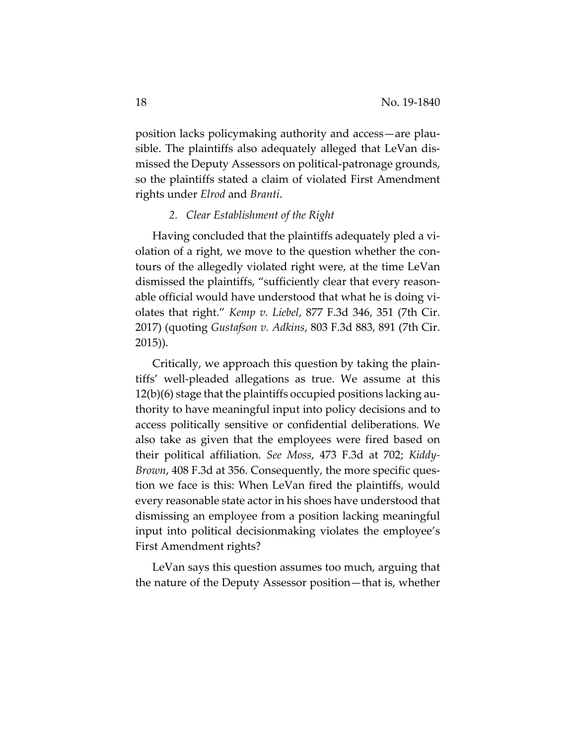position lacks policymaking authority and access—are plau‐ sible. The plaintiffs also adequately alleged that LeVan dis‐ missed the Deputy Assessors on political‐patronage grounds, so the plaintiffs stated a claim of violated First Amendment rights under *Elrod* and *Branti*.

#### *2. Clear Establishment of the Right*

Having concluded that the plaintiffs adequately pled a vi‐ olation of a right, we move to the question whether the con‐ tours of the allegedly violated right were, at the time LeVan dismissed the plaintiffs, "sufficiently clear that every reason‐ able official would have understood that what he is doing vi‐ olates that right." *Kemp v. Liebel*, 877 F.3d 346, 351 (7th Cir. 2017) (quoting *Gustafson v. Adkins*, 803 F.3d 883, 891 (7th Cir. 2015)).

Critically, we approach this question by taking the plain‐ tiffs' well‐pleaded allegations as true. We assume at this 12(b)(6) stage that the plaintiffs occupied positions lacking au‐ thority to have meaningful input into policy decisions and to access politically sensitive or confidential deliberations. We also take as given that the employees were fired based on their political affiliation. *See Moss*, 473 F.3d at 702; *Kiddy‐ Brown,* 408 F.3d at 356. Consequently, the more specific question we face is this: When LeVan fired the plaintiffs, would every reasonable state actor in his shoes have understood that dismissing an employee from a position lacking meaningful input into political decisionmaking violates the employee's First Amendment rights?

LeVan says this question assumes too much, arguing that the nature of the Deputy Assessor position—that is, whether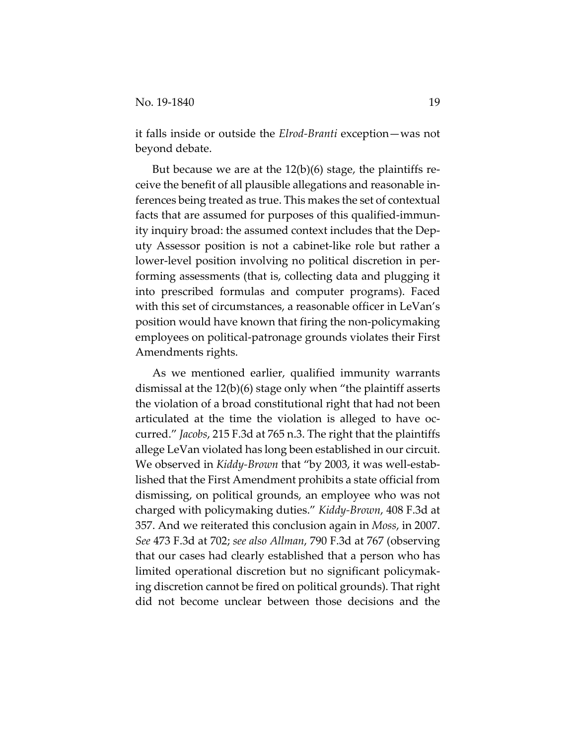it falls inside or outside the *Elrod‐Branti* exception—was not beyond debate.

But because we are at the  $12(b)(6)$  stage, the plaintiffs receive the benefit of all plausible allegations and reasonable in‐ ferences being treated as true. This makes the set of contextual facts that are assumed for purposes of this qualified‐immun‐ ity inquiry broad: the assumed context includes that the Dep‐ uty Assessor position is not a cabinet‐like role but rather a lower-level position involving no political discretion in performing assessments (that is, collecting data and plugging it into prescribed formulas and computer programs). Faced with this set of circumstances, a reasonable officer in LeVan's position would have known that firing the non‐policymaking employees on political‐patronage grounds violates their First Amendments rights.

As we mentioned earlier, qualified immunity warrants dismissal at the 12(b)(6) stage only when "the plaintiff asserts the violation of a broad constitutional right that had not been articulated at the time the violation is alleged to have oc‐ curred." *Jacobs*, 215 F.3d at 765 n.3. The right that the plaintiffs allege LeVan violated has long been established in our circuit. We observed in *Kiddy‐Brown* that "by 2003, it was well‐estab‐ lished that the First Amendment prohibits a state official from dismissing, on political grounds, an employee who was not charged with policymaking duties." *Kiddy‐Brown*, 408 F.3d at 357. And we reiterated this conclusion again in *Moss*, in 2007. *See* 473 F.3d at 702; *see also Allman*, 790 F.3d at 767 (observing that our cases had clearly established that a person who has limited operational discretion but no significant policymak‐ ing discretion cannot be fired on political grounds). That right did not become unclear between those decisions and the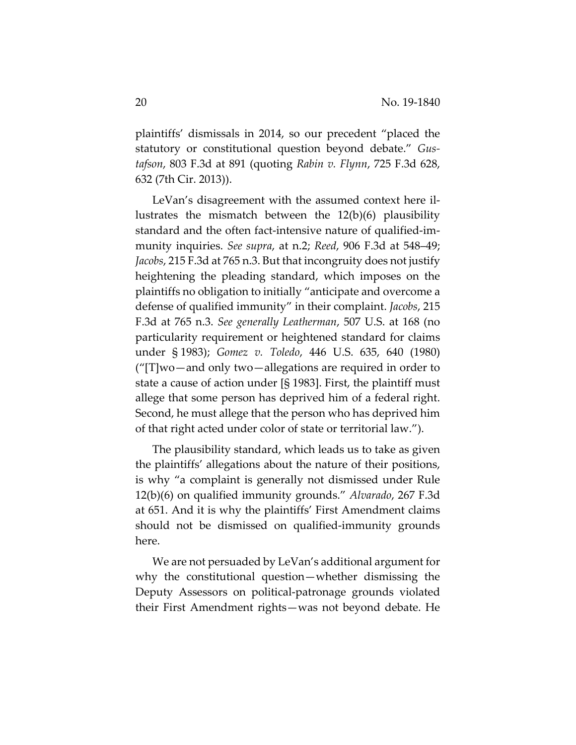plaintiffs' dismissals in 2014, so our precedent "placed the statutory or constitutional question beyond debate." *Gus‐ tafson*, 803 F.3d at 891 (quoting *Rabin v. Flynn*, 725 F.3d 628, 632 (7th Cir. 2013)).

LeVan's disagreement with the assumed context here il‐ lustrates the mismatch between the 12(b)(6) plausibility standard and the often fact‐intensive nature of qualified‐im‐ munity inquiries. *See supra*, at n.2; *Reed*, 906 F.3d at 548–49; *Jacobs*, 215 F.3d at 765 n.3. But that incongruity does not justify heightening the pleading standard, which imposes on the plaintiffs no obligation to initially "anticipate and overcome a defense of qualified immunity" in their complaint. *Jacobs*, 215 F.3d at 765 n.3. *See generally Leatherman*, 507 U.S. at 168 (no particularity requirement or heightened standard for claims under § 1983); *Gomez v. Toledo*, 446 U.S. 635, 640 (1980) ("[T]wo—and only two—allegations are required in order to state a cause of action under [§ 1983]. First, the plaintiff must allege that some person has deprived him of a federal right. Second, he must allege that the person who has deprived him of that right acted under color of state or territorial law.").

The plausibility standard, which leads us to take as given the plaintiffs' allegations about the nature of their positions, is why "a complaint is generally not dismissed under Rule 12(b)(6) on qualified immunity grounds." *Alvarado*, 267 F.3d at 651. And it is why the plaintiffs' First Amendment claims should not be dismissed on qualified‐immunity grounds here.

We are not persuaded by LeVan's additional argument for why the constitutional question—whether dismissing the Deputy Assessors on political-patronage grounds violated their First Amendment rights—was not beyond debate. He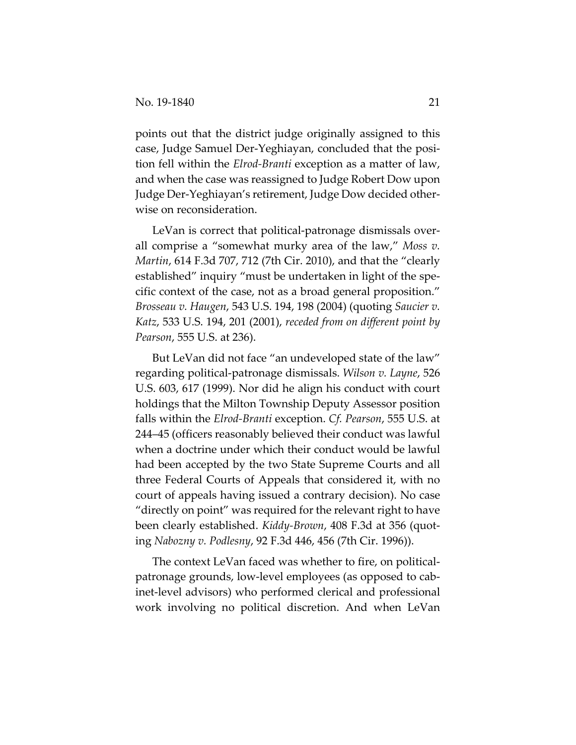points out that the district judge originally assigned to this case, Judge Samuel Der‐Yeghiayan, concluded that the posi‐ tion fell within the *Elrod‐Branti* exception as a matter of law, and when the case was reassigned to Judge Robert Dow upon Judge Der‐Yeghiayan's retirement, Judge Dow decided other‐ wise on reconsideration.

LeVan is correct that political-patronage dismissals overall comprise a "somewhat murky area of the law," *Moss v. Martin*, 614 F.3d 707, 712 (7th Cir. 2010), and that the "clearly established" inquiry "must be undertaken in light of the spe‐ cific context of the case, not as a broad general proposition." *Brosseau v. Haugen*, 543 U.S. 194, 198 (2004) (quoting *Saucier v. Katz*, 533 U.S. 194, 201 (2001), *receded from on different point by Pearson*, 555 U.S. at 236).

But LeVan did not face "an undeveloped state of the law" regarding political‐patronage dismissals. *Wilson v. Layne*, 526 U.S. 603, 617 (1999). Nor did he align his conduct with court holdings that the Milton Township Deputy Assessor position falls within the *Elrod‐Branti* exception. *Cf. Pearson*, 555 U.S. at 244–45 (officers reasonably believed their conduct was lawful when a doctrine under which their conduct would be lawful had been accepted by the two State Supreme Courts and all three Federal Courts of Appeals that considered it, with no court of appeals having issued a contrary decision). No case "directly on point" was required for the relevant right to have been clearly established. *Kiddy‐Brown*, 408 F.3d at 356 (quot‐ ing *Nabozny v. Podlesny*, 92 F.3d 446, 456 (7th Cir. 1996)).

The context LeVan faced was whether to fire, on political‐ patronage grounds, low‐level employees (as opposed to cab‐ inet‐level advisors) who performed clerical and professional work involving no political discretion. And when LeVan